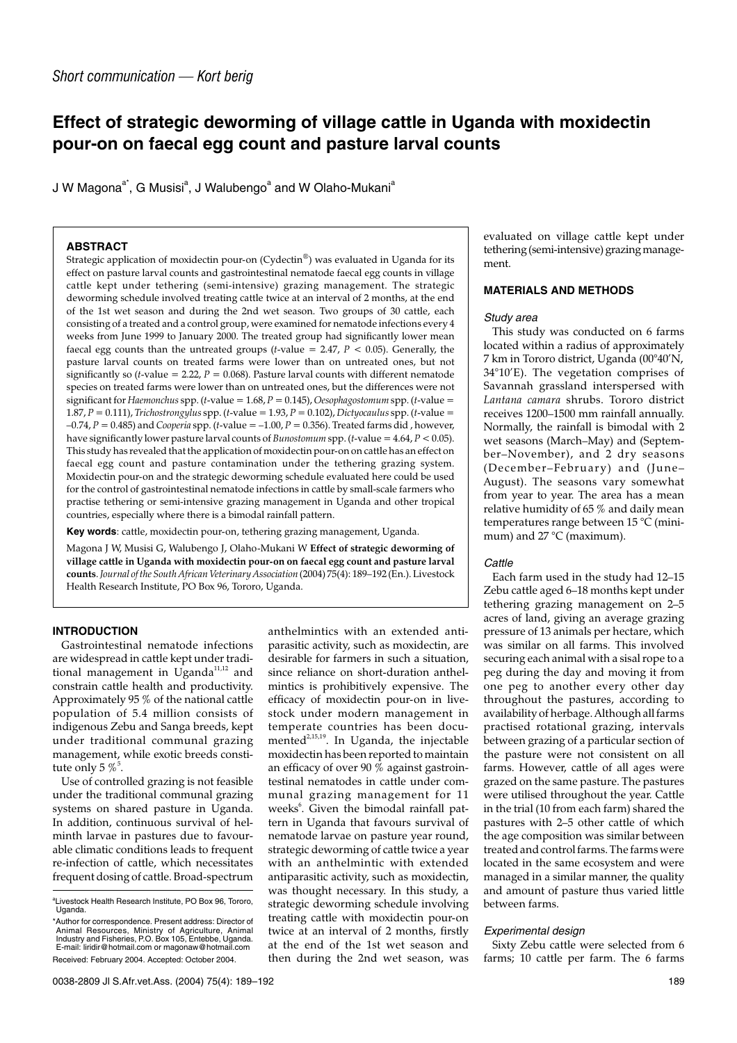# **Effect of strategic deworming of village cattle in Uganda with moxidectin pour-on on faecal egg count and pasture larval counts**

J W Magona $^{\mathsf{a}^*}$ , G Musisi $^{\mathsf{a}}$ , J Walubengo $^{\mathsf{a}}$  and W Olaho-Mukani $^{\mathsf{a}}$ 

## **ABSTRACT**

Strategic application of moxidectin pour-on (Cydectin®) was evaluated in Uganda for its effect on pasture larval counts and gastrointestinal nematode faecal egg counts in village cattle kept under tethering (semi-intensive) grazing management. The strategic deworming schedule involved treating cattle twice at an interval of 2 months, at the end of the 1st wet season and during the 2nd wet season. Two groups of 30 cattle, each consisting of a treated and a control group, were examined for nematode infections every 4 weeks from June 1999 to January 2000. The treated group had significantly lower mean faecal egg counts than the untreated groups (*t*-value = 2.47,  $P \le 0.05$ ). Generally, the pasture larval counts on treated farms were lower than on untreated ones, but not significantly so  $(t$ -value = 2.22,  $P = 0.068$ ). Pasture larval counts with different nematode species on treated farms were lower than on untreated ones, but the differences were not significant for *Haemonchus* spp. (*t*-value = 1.68, *P* = 0.145), *Oesophagostomum* spp. (*t*-value = 1.87, *P* = 0.111), *Trichostrongylus* spp. (*t*-value = 1.93, *P* = 0.102), *Dictyocaulus* spp. (*t*-value =  $-0.74$ ,  $P = 0.485$ ) and *Cooperia* spp. (*t*-value =  $-1.00$ ,  $P = 0.356$ ). Treated farms did, however, have significantly lower pasture larval counts of *Bunostomum* spp.  $(t$ -value = 4.64,  $P < 0.05$ ). This study has revealed that the application of moxidectin pour-on on cattle has an effect on faecal egg count and pasture contamination under the tethering grazing system. Moxidectin pour-on and the strategic deworming schedule evaluated here could be used for the control of gastrointestinal nematode infections in cattle by small-scale farmers who practise tethering or semi-intensive grazing management in Uganda and other tropical countries, especially where there is a bimodal rainfall pattern.

**Key words**: cattle, moxidectin pour-on, tethering grazing management, Uganda.

Magona J W, Musisi G, Walubengo J, Olaho-Mukani W **Effect of strategic deworming of village cattle in Uganda with moxidectin pour-on on faecal egg count and pasture larval counts**.*Journal of the South African Veterinary Association* (2004) 75(4): 189–192 (En.). Livestock Health Research Institute, PO Box 96, Tororo, Uganda.

# **INTRODUCTION**

Gastrointestinal nematode infections are widespread in cattle kept under traditional management in Uganda<sup>11,12</sup> and constrain cattle health and productivity. Approximately 95 % of the national cattle population of 5.4 million consists of indigenous Zebu and Sanga breeds, kept under traditional communal grazing management, while exotic breeds constitute only 5  $\%$   $^{5}.$ 

Use of controlled grazing is not feasible under the traditional communal grazing systems on shared pasture in Uganda. In addition, continuous survival of helminth larvae in pastures due to favourable climatic conditions leads to frequent re-infection of cattle, which necessitates frequent dosing of cattle. Broad-spectrum anthelmintics with an extended antiparasitic activity, such as moxidectin, are desirable for farmers in such a situation, since reliance on short-duration anthelmintics is prohibitively expensive. The efficacy of moxidectin pour-on in livestock under modern management in temperate countries has been documented<sup>2,15,19</sup>. In Uganda, the injectable moxidectin has been reported to maintain an efficacy of over 90 % against gastrointestinal nematodes in cattle under communal grazing management for 11 weeks<sup>6</sup>. Given the bimodal rainfall pattern in Uganda that favours survival of nematode larvae on pasture year round, strategic deworming of cattle twice a year with an anthelmintic with extended antiparasitic activity, such as moxidectin, was thought necessary. In this study, a strategic deworming schedule involving treating cattle with moxidectin pour-on twice at an interval of 2 months, firstly at the end of the 1st wet season and then during the 2nd wet season, was

evaluated on village cattle kept under tethering (semi-intensive) grazing management.

# **MATERIALS AND METHODS**

#### Study area

This study was conducted on 6 farms located within a radius of approximately 7 km in Tororo district, Uganda (00°40'N, 34°10'E). The vegetation comprises of Savannah grassland interspersed with *Lantana camara* shrubs. Tororo district receives 1200–1500 mm rainfall annually. Normally, the rainfall is bimodal with 2 wet seasons (March–May) and (September–November), and 2 dry seasons (December–February) and (June– August). The seasons vary somewhat from year to year. The area has a mean relative humidity of 65 % and daily mean temperatures range between 15 °C (minimum) and 27 °C (maximum).

#### **Cattle**

Each farm used in the study had 12–15 Zebu cattle aged 6–18 months kept under tethering grazing management on 2–5 acres of land, giving an average grazing pressure of 13 animals per hectare, which was similar on all farms. This involved securing each animal with a sisal rope to a peg during the day and moving it from one peg to another every other day throughout the pastures, according to availability of herbage. Although all farms practised rotational grazing, intervals between grazing of a particular section of the pasture were not consistent on all farms. However, cattle of all ages were grazed on the same pasture. The pastures were utilised throughout the year. Cattle in the trial (10 from each farm) shared the pastures with 2–5 other cattle of which the age composition was similar between treated and control farms. The farms were located in the same ecosystem and were managed in a similar manner, the quality and amount of pasture thus varied little between farms.

#### Experimental design

Sixty Zebu cattle were selected from 6 farms; 10 cattle per farm. The 6 farms

<sup>&</sup>lt;sup>a</sup>Livestock Health Research Institute, PO Box 96, Tororo, Uganda.

<sup>\*</sup>Author for correspondence. Present address: Director of Animal Resources, Ministry of Agriculture, Animal Industry and Fisheries, P.O. Box 105, Entebbe, Uganda. E-mail: liridir@hotmail.com or magonaw@hotmail.com Received: February 2004. Accepted: October 2004.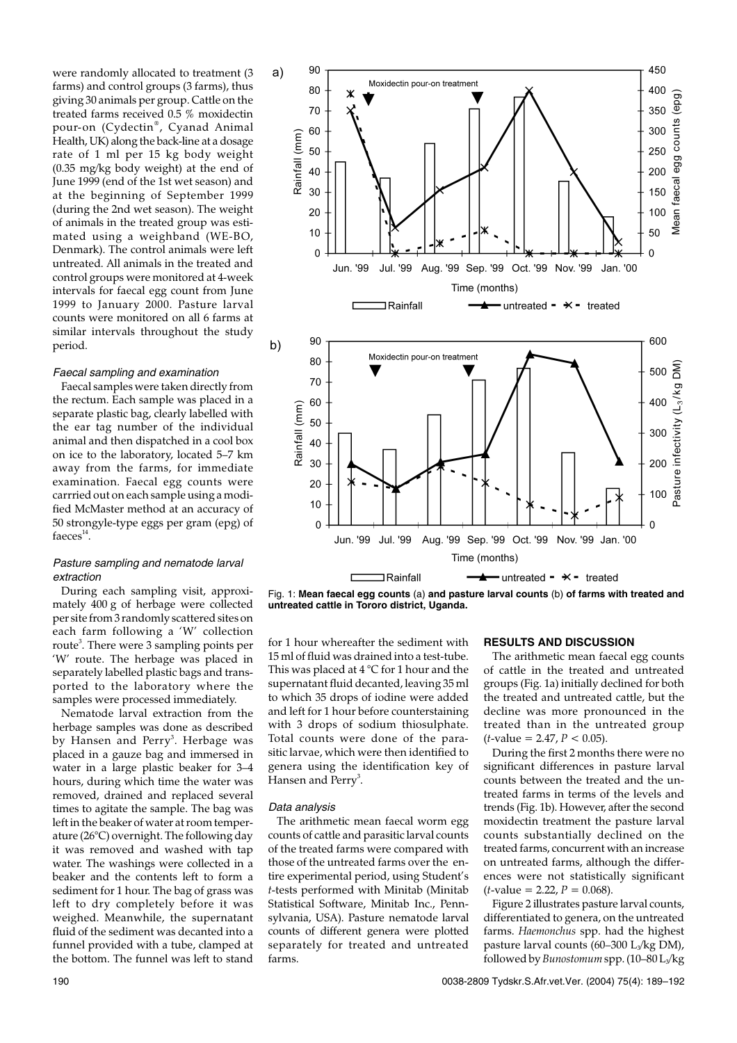were randomly allocated to treatment (3 farms) and control groups (3 farms), thus giving 30 animals per group. Cattle on the treated farms received 0.5 % moxidectin pour-on (Cydectin®, Cyanad Animal Health, UK) along the back-line at a dosage rate of 1 ml per 15 kg body weight (0.35 mg/kg body weight) at the end of June 1999 (end of the 1st wet season) and at the beginning of September 1999 (during the 2nd wet season). The weight of animals in the treated group was estimated using a weighband (WE-BO, Denmark). The control animals were left untreated. All animals in the treated and control groups were monitored at 4-week intervals for faecal egg count from June 1999 to January 2000. Pasture larval counts were monitored on all 6 farms at similar intervals throughout the study period.

#### Faecal sampling and examination

Faecal samples were taken directly from the rectum. Each sample was placed in a separate plastic bag, clearly labelled with the ear tag number of the individual animal and then dispatched in a cool box on ice to the laboratory, located 5–7 km away from the farms, for immediate examination. Faecal egg counts were carrried out on each sample using a modified McMaster method at an accuracy of 50 strongyle-type eggs per gram (epg) of faeces $^{14}$ .

### Pasture sampling and nematode larval extraction

During each sampling visit, approximately 400 g of herbage were collected per site from 3 randomly scattered sites on each farm following a 'W' collection route<sup>3</sup>. There were 3 sampling points per 'W' route. The herbage was placed in separately labelled plastic bags and transported to the laboratory where the samples were processed immediately.

Nematode larval extraction from the herbage samples was done as described by Hansen and Perry<sup>3</sup>. Herbage was placed in a gauze bag and immersed in water in a large plastic beaker for 3–4 hours, during which time the water was removed, drained and replaced several times to agitate the sample. The bag was left in the beaker of water at room temperature (26°C) overnight. The following day it was removed and washed with tap water. The washings were collected in a beaker and the contents left to form a sediment for 1 hour. The bag of grass was left to dry completely before it was weighed. Meanwhile, the supernatant fluid of the sediment was decanted into a funnel provided with a tube, clamped at the bottom. The funnel was left to stand



Fig. 1: **Mean faecal egg counts** (a) **and pasture larval counts** (b) **of farms with treated and untreated cattle in Tororo district, Uganda.**

for 1 hour whereafter the sediment with 15 ml of fluid was drained into a test-tube. This was placed at 4 °C for 1 hour and the supernatant fluid decanted, leaving 35 ml to which 35 drops of iodine were added and left for 1 hour before counterstaining with 3 drops of sodium thiosulphate. Total counts were done of the parasitic larvae, which were then identified to genera using the identification key of Hansen and Perry<sup>3</sup>.

#### Data analysis

The arithmetic mean faecal worm egg counts of cattle and parasitic larval counts of the treated farms were compared with those of the untreated farms over the entire experimental period, using Student's *t*-tests performed with Minitab (Minitab Statistical Software, Minitab Inc., Pennsylvania, USA). Pasture nematode larval counts of different genera were plotted separately for treated and untreated farms.

#### **RESULTS AND DISCUSSION**

The arithmetic mean faecal egg counts of cattle in the treated and untreated groups (Fig. 1a) initially declined for both the treated and untreated cattle, but the decline was more pronounced in the treated than in the untreated group  $(t$ -value = 2.47,  $P < 0.05$ ).

During the first 2 months there were no significant differences in pasture larval counts between the treated and the untreated farms in terms of the levels and trends (Fig. 1b). However, after the second moxidectin treatment the pasture larval counts substantially declined on the treated farms, concurrent with an increase on untreated farms, although the differences were not statistically significant  $(t$ -value = 2.22,  $P = 0.068$ ).

Figure 2 illustrates pasture larval counts, differentiated to genera, on the untreated farms. *Haemonchus* spp. had the highest pasture larval counts  $(60-300 \text{ L}_{3}/\text{kg DM})$ , followed by*Bunostomum*spp. (10–80 L3/kg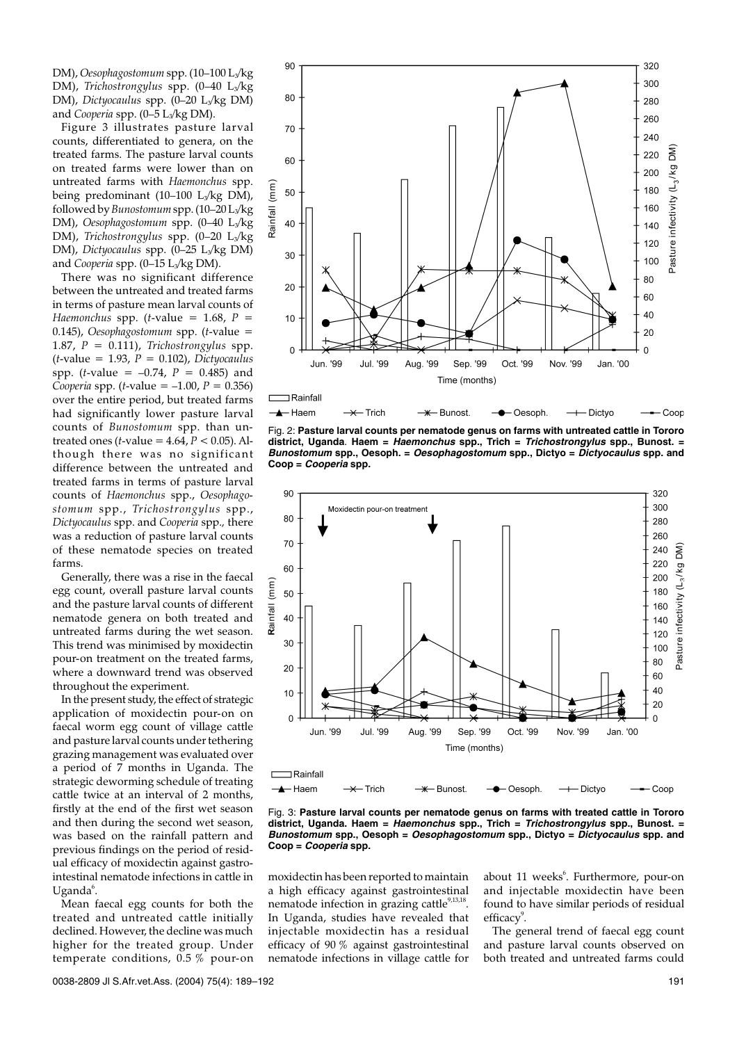DM), *Oesophagostomum* spp. (10-100 L<sub>3</sub>/kg DM), *Trichostrongylus* spp. (0–40 L<sub>3</sub>/kg DM), *Dictyocaulus* spp. (0–20 L3/kg DM) and *Cooperia* spp. (0-5 L<sub>3</sub>/kg DM).

Figure 3 illustrates pasture larval counts, differentiated to genera, on the treated farms. The pasture larval counts on treated farms were lower than on untreated farms with *Haemonchus* spp. being predominant (10–100 L<sub>3</sub>/kg DM), followed by*Bunostomum*spp. (10–20 L3/kg DM), *Oesophagostomum* spp. (0-40 L<sub>3</sub>/kg DM), *Trichostrongylus* spp. (0-20 L<sub>3</sub>/kg DM), *Dictyocaulus* spp. (0-25 L<sub>3</sub>/kg DM) and *Cooperia* spp. (0-15 L<sub>3</sub>/kg DM).

There was no significant difference between the untreated and treated farms in terms of pasture mean larval counts of *Haemonchus* spp. (*t*-value = 1.68,  $P =$ 0.145), *Oesophagostomum* spp. (*t*-value = 1.87, *P* = 0.111), *Trichostrongylus* spp. (*t*-value = 1.93, *P* = 0.102), *Dictyocaulus* spp. (*t*-value =  $-0.74$ ,  $P = 0.485$ ) and *Cooperia* spp. (*t*-value = –1.00, *P* = 0.356) over the entire period, but treated farms had significantly lower pasture larval counts of *Bunostomum* spp. than untreated ones (*t*-value = 4.64, *P* < 0.05). Although there was no significant difference between the untreated and treated farms in terms of pasture larval counts of *Haemonchus* spp., *Oesophagostomum* spp., *Trichostrongylus* spp., *Dictyocaulus* spp. and *Cooperia* spp.*,* there was a reduction of pasture larval counts of these nematode species on treated farms.

Generally, there was a rise in the faecal egg count, overall pasture larval counts and the pasture larval counts of different nematode genera on both treated and untreated farms during the wet season. This trend was minimised by moxidectin pour-on treatment on the treated farms, where a downward trend was observed throughout the experiment.

In the present study, the effect of strategic application of moxidectin pour-on on faecal worm egg count of village cattle and pasture larval counts under tethering grazing management was evaluated over a period of 7 months in Uganda. The strategic deworming schedule of treating cattle twice at an interval of 2 months, firstly at the end of the first wet season and then during the second wet season, was based on the rainfall pattern and previous findings on the period of residual efficacy of moxidectin against gastrointestinal nematode infections in cattle in Uganda<sup>6</sup>.

Mean faecal egg counts for both the treated and untreated cattle initially declined. However, the decline was much higher for the treated group. Under temperate conditions, 0.5 % pour-on



Fig. 2: **Pasture larval counts per nematode genus on farms with untreated cattle in Tororo district, Uganda**. **Haem = Haemonchus spp., Trich = Trichostrongylus spp., Bunost. = Bunostomum spp., Oesoph. = Oesophagostomum spp., Dictyo = Dictyocaulus spp. and Coop = Cooperia spp.**



Fig. 3: **Pasture larval counts per nematode genus on farms with treated cattle in Tororo district, Uganda. Haem = Haemonchus spp., Trich = Trichostrongylus spp., Bunost. = Bunostomum spp., Oesoph = Oesophagostomum spp., Dictyo = Dictyocaulus spp. and Coop = Cooperia spp.**

moxidectin has been reported to maintain a high efficacy against gastrointestinal nematode infection in grazing cattle $9,13,18$ . In Uganda, studies have revealed that injectable moxidectin has a residual efficacy of 90 % against gastrointestinal nematode infections in village cattle for

about 11 weeks<sup>6</sup>. Furthermore, pour-on and injectable moxidectin have been found to have similar periods of residual efficacy<sup>9</sup>.

The general trend of faecal egg count and pasture larval counts observed on both treated and untreated farms could